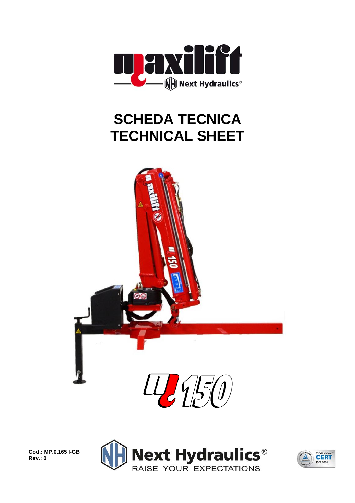

## **SCHEDA TECNICA TECHNICAL SHEET**



**Cod.: MP.0.165 I-GB Rev.: 0** 



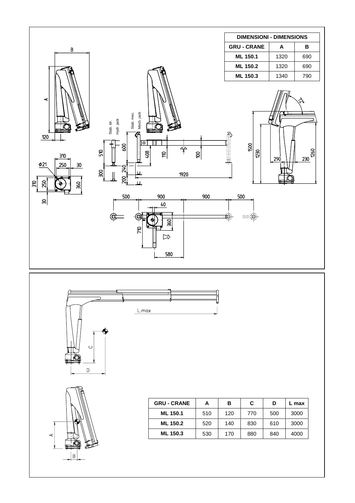





 $\blacktriangleleft$ 

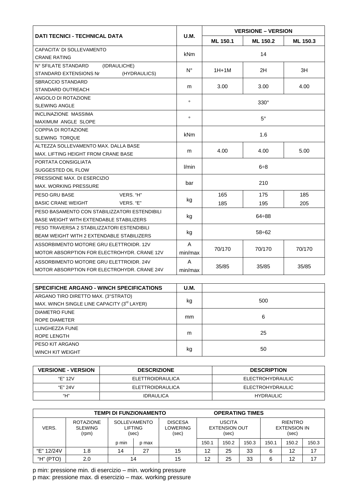|                                                  |             | <b>VERSIONE - VERSION</b>  |          |          |  |  |
|--------------------------------------------------|-------------|----------------------------|----------|----------|--|--|
| <b>DATI TECNICI - TECHNICAL DATA</b>             | U.M.        | ML 150.1                   | ML 150.2 | ML 150.3 |  |  |
| CAPACITA' DI SOLLEVAMENTO                        |             | 14                         |          |          |  |  |
| <b>CRANE RATING</b>                              | <b>kNm</b>  |                            |          |          |  |  |
| N° SFILATE STANDARD<br>(IDRAULICHE)              |             | $1H+1M$                    |          | 3H       |  |  |
| <b>STANDARD EXTENSIONS Nr</b><br>(HYDRAULICS)    | $N^{\circ}$ |                            | 2H       |          |  |  |
| SBRACCIO STANDARD                                |             |                            |          |          |  |  |
| STANDARD OUTREACH                                | m           | 3.00                       | 3.00     | 4.00     |  |  |
| ANGOLO DI ROTAZIONE                              | $\circ$     | $330^\circ$                |          |          |  |  |
| <b>SLEWING ANGLE</b>                             |             |                            |          |          |  |  |
| <b>INCLINAZIONE MASSIMA</b>                      | $\circ$     | $5^{\circ}$                |          |          |  |  |
| MAXIMUM ANGLE SLOPE                              |             |                            |          |          |  |  |
| COPPIA DI ROTAZIONE                              | <b>kNm</b>  | 1.6                        |          |          |  |  |
| <b>SLEWING TORQUE</b>                            |             |                            |          |          |  |  |
| ALTEZZA SOLLEVAMENTO MAX. DALLA BASE             |             | 4.00                       | 4.00     | 5.00     |  |  |
| MAX. LIFTING HEIGHT FROM CRANE BASE              | m           |                            |          |          |  |  |
| PORTATA CONSIGLIATA                              | l/min       | $6\div8$                   |          |          |  |  |
| SUGGESTED OIL FLOW                               |             |                            |          |          |  |  |
| PRESSIONE MAX. DI ESERCIZIO                      | bar         | 210                        |          |          |  |  |
| <b>MAX. WORKING PRESSURE</b>                     |             |                            |          |          |  |  |
| VERS. "H"<br>PESO GRU BASE                       |             | 165                        | 175      | 185      |  |  |
| <b>BASIC CRANE WEIGHT</b><br>VERS. "E"           | kg          | 185                        | 195      | 205      |  |  |
| PESO BASAMENTO CON STABILIZZATORI ESTENDIBILI    |             |                            |          |          |  |  |
| BASE WEIGHT WITH EXTENDABLE STABILIZERS          | kg          | 64÷88                      |          |          |  |  |
| PESO TRAVERSA 2 STABILIZZATORI ESTENDIBILI       |             |                            |          |          |  |  |
| <b>BEAM WEIGHT WITH 2 EXTENDABLE STABILIZERS</b> | kg          | $58 \div 62$               |          |          |  |  |
| ASSORBIMENTO MOTORE GRU ELETTROIDR. 12V          | A           |                            |          |          |  |  |
| MOTOR ABSORPTION FOR ELECTROHYDR. CRANE 12V      | min/max     | 70/170<br>70/170<br>70/170 |          |          |  |  |
| ASSORBIMENTO MOTORE GRU ELETTROIDR. 24V          | A           |                            |          |          |  |  |
| MOTOR ABSORPTION FOR ELECTROHYDR. CRANE 24V      | min/max     | 35/85<br>35/85<br>35/85    |          |          |  |  |

| <b>SPECIFICHE ARGANO - WINCH SPECIFICATIONS</b> | <b>U.M.</b> |     |
|-------------------------------------------------|-------------|-----|
| ARGANO TIRO DIRETTO MAX. (3°STRATO)             |             |     |
| MAX. WINCH SINGLE LINE CAPACITY (3rd LAYER)     | kg          | 500 |
| <b>DIAMETRO FUNE</b>                            |             |     |
| ROPE DIAMETER                                   | mm          | 6   |
| LUNGHEZZA FUNE                                  |             |     |
| ROPE LENGTH                                     | m           | 25  |
| PESO KIT ARGANO                                 |             |     |
| <b>WINCH KIT WEIGHT</b>                         | kg          | 50  |

| <b>VERSIONE - VERSION</b> | <b>DESCRIZIONE</b>      | <b>DESCRIPTION</b>      |  |  |  |
|---------------------------|-------------------------|-------------------------|--|--|--|
| "F" 12V                   | <b>ELETTROIDRAULICA</b> | <b>ELECTROHYDRAULIC</b> |  |  |  |
| "F" 24V                   | ELETTROIDRAULICA        | <b>ELECTROHYDRAULIC</b> |  |  |  |
| "Н"                       | <b>IDRAULICA</b>        | <b>HYDRAULIC</b>        |  |  |  |

| TEMPI DI FUNZIONAMENTO |                                             |                                         |       | <b>OPERATING TIMES</b>                     |                                                |       |       |                                                |       |       |
|------------------------|---------------------------------------------|-----------------------------------------|-------|--------------------------------------------|------------------------------------------------|-------|-------|------------------------------------------------|-------|-------|
| VERS.                  | <b>ROTAZIONE</b><br><b>SLEWING</b><br>(rpm) | <b>SOLLEVAMENTO</b><br>LIFTING<br>(sec) |       | <b>DISCESA</b><br><b>LOWERING</b><br>(sec) | <b>USCITA</b><br><b>EXTENSION OUT</b><br>(sec) |       |       | <b>RIENTRO</b><br><b>EXTENSION IN</b><br>(sec) |       |       |
|                        |                                             | p min                                   | p max |                                            | 150.1                                          | 150.2 | 150.3 | 150.1                                          | 150.2 | 150.3 |
| "E" 12/24V             | 1.8                                         | 14                                      | 27    | 15                                         | 12                                             | 25    | 33    | 6                                              | 12    | 17    |
| "H" (PTO)              | 2.0                                         | 14                                      |       | 15                                         | 12                                             | 25    | 33    |                                                | 12    | 17    |

p min: pressione min. di esercizio - min. working pressure<br>p max: pressione max. di esercizio - max. working pressure